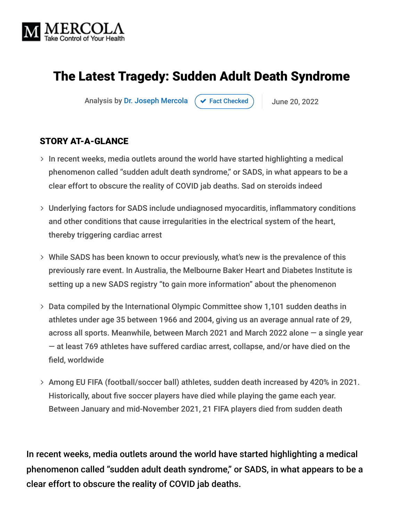

# The Latest Tragedy: Sudden Adult Death Syndrome

Analysis by [Dr. Joseph Mercola](https://www.mercola.com/forms/background.htm)  $\left( \right. \times$  [Fact Checked](javascript:void(0))  $\left. \right)$  June 20, 2022

#### STORY AT-A-GLANCE

- $>$  In recent weeks, media outlets around the world have started highlighting a medical phenomenon called "sudden adult death syndrome," or SADS, in what appears to be a clear effort to obscure the reality of COVID jab deaths. Sad on steroids indeed
- Underlying factors for SADS include undiagnosed myocarditis, inflammatory conditions and other conditions that cause irregularities in the electrical system of the heart, thereby triggering cardiac arrest
- While SADS has been known to occur previously, what's new is the prevalence of this previously rare event. In Australia, the Melbourne Baker Heart and Diabetes Institute is setting up a new SADS registry "to gain more information" about the phenomenon
- Data compiled by the International Olympic Committee show 1,101 sudden deaths in athletes under age 35 between 1966 and 2004, giving us an average annual rate of 29, across all sports. Meanwhile, between March 2021 and March 2022 alone — a single year — at least 769 athletes have suffered cardiac arrest, collapse, and/or have died on the field, worldwide
- Among EU FIFA (football/soccer ball) athletes, sudden death increased by 420% in 2021. Historically, about five soccer players have died while playing the game each year. Between January and mid-November 2021, 21 FIFA players died from sudden death

In recent weeks, media outlets around the world have started highlighting a medical phenomenon called "sudden adult death syndrome," or SADS, in what appears to be a clear effort to obscure the reality of COVID jab deaths.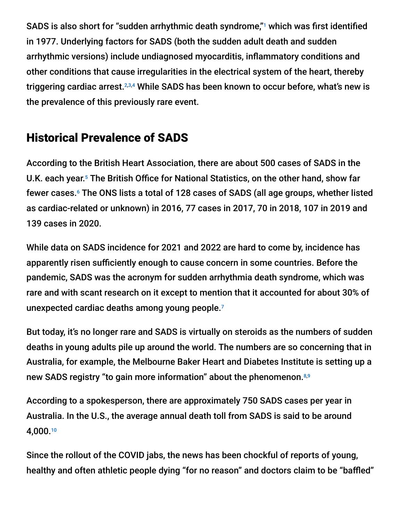SADS is also short for "sudden arrhythmic death syndrome,"<sup>1</sup> which was first identified in 1977. Underlying factors for SADS (both the sudden adult death and sudden arrhythmic versions) include undiagnosed myocarditis, inflammatory conditions and other conditions that cause irregularities in the electrical system of the heart, thereby triggering cardiac arrest.2,3,4 While SADS has been known to occur before, what's new is the prevalence of this previously rare event.

# Historical Prevalence of SADS

According to the British Heart Association, there are about 500 cases of SADS in the U.K. each year.<sup>5</sup> The British Office for National Statistics, on the other hand, show far fewer cases.<sup>6</sup> The ONS lists a total of 128 cases of SADS (all age groups, whether listed as cardiac-related or unknown) in 2016, 77 cases in 2017, 70 in 2018, 107 in 2019 and 139 cases in 2020.

While data on SADS incidence for 2021 and 2022 are hard to come by, incidence has apparently risen sufficiently enough to cause concern in some countries. Before the pandemic, SADS was the acronym for sudden arrhythmia death syndrome, which was rare and with scant research on it except to mention that it accounted for about 30% of unexpected cardiac deaths among young people. 7

But today, it's no longer rare and SADS is virtually on steroids as the numbers of sudden deaths in young adults pile up around the world. The numbers are so concerning that in Australia, for example, the Melbourne Baker Heart and Diabetes Institute is setting up a new SADS registry "to gain more information" about the phenomenon.<sup>8,9</sup>

According to a spokesperson, there are approximately 750 SADS cases per year in Australia. In the U.S., the average annual death toll from SADS is said to be around 4,000. 10

Since the rollout of the COVID jabs, the news has been chockful of reports of young, healthy and often athletic people dying "for no reason" and doctors claim to be "baffled"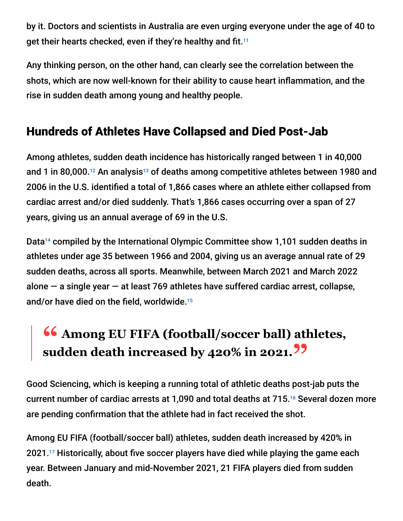by it. Doctors and scientists in Australia are even urging everyone under the age of 40 to get their hearts checked, even if they're healthy and fit.<sup>11</sup>

Any thinking person, on the other hand, can clearly see the correlation between the shots, which are now well-known for their ability to cause heart inflammation, and the rise in sudden death among young and healthy people.

## Hundreds of Athletes Have Collapsed and Died Post-Jab

Among athletes, sudden death incidence has historically ranged between 1 in 40,000 and 1 in 80,000.<sup>12</sup> An analysis<sup>13</sup> of deaths among competitive athletes between 1980 and 2006 in the U.S. identified a total of 1,866 cases where an athlete either collapsed from cardiac arrest and/or died suddenly. That's 1,866 cases occurring over a span of 27 years, giving us an annual average of 69 in the U.S.

Data<sup>14</sup> compiled by the International Olympic Committee show 1,101 sudden deaths in athletes under age 35 between 1966 and 2004, giving us an average annual rate of 29 sudden deaths, across all sports. Meanwhile, between March 2021 and March 2022 alone  $-$  a single year  $-$  at least 769 athletes have suffered cardiac arrest, collapse, and/or have died on the field, worldwide. 15

# **46 Among EU FIFA (football/soccer ball) athletes,**<br>sudden death increased by 420% in 2021 22 **sudden death increased by 420% in 2021."**

Good Sciencing, which is keeping a running total of athletic deaths post-jab puts the current number of cardiac arrests at 1,090 and total deaths at 715.<sup>16</sup> Several dozen more are pending confirmation that the athlete had in fact received the shot.

Among EU FIFA (football/soccer ball) athletes, sudden death increased by 420% in  $2021.^{17}$  Historically, about five soccer players have died while playing the game each year. Between January and mid-November 2021, 21 FIFA players died from sudden death.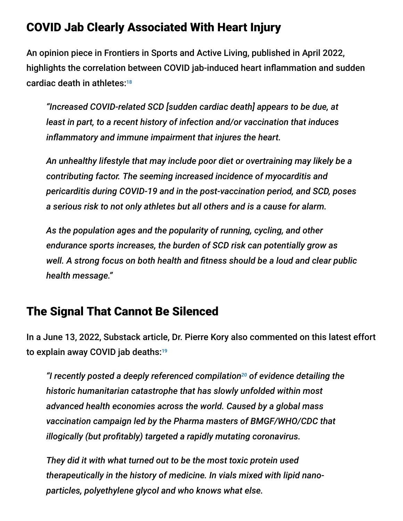### COVID Jab Clearly Associated With Heart Injury

An opinion piece in Frontiers in Sports and Active Living, published in April 2022, highlights the correlation between COVID jab-induced heart inflammation and sudden cardiac death in athletes: 18

*"Increased COVID-related SCD [sudden cardiac death] appears to be due, at least in part, to a recent history of infection and/or vaccination that induces inflammatory and immune impairment that injures the heart.*

*An unhealthy lifestyle that may include poor diet or overtraining may likely be a contributing factor. The seeming increased incidence of myocarditis and pericarditis during COVID-19 and in the post-vaccination period, and SCD, poses a serious risk to not only athletes but all others and is a cause for alarm.*

*As the population ages and the popularity of running, cycling, and other endurance sports increases, the burden of SCD risk can potentially grow as well. A strong focus on both health and fitness should be a loud and clear public health message."*

### The Signal That Cannot Be Silenced

In a June 13, 2022, Substack article, Dr. Pierre Kory also commented on this latest effort to explain away COVID jab deaths: 19

"I recently posted a deeply referenced compilation<sup>20</sup> of evidence detailing the *historic humanitarian catastrophe that has slowly unfolded within most advanced health economies across the world. Caused by a global mass vaccination campaign led by the Pharma masters of BMGF/WHO/CDC that illogically (but profitably) targeted a rapidly mutating coronavirus.*

*They did it with what turned out to be the most toxic protein used therapeutically in the history of medicine. In vials mixed with lipid nanoparticles, polyethylene glycol and who knows what else.*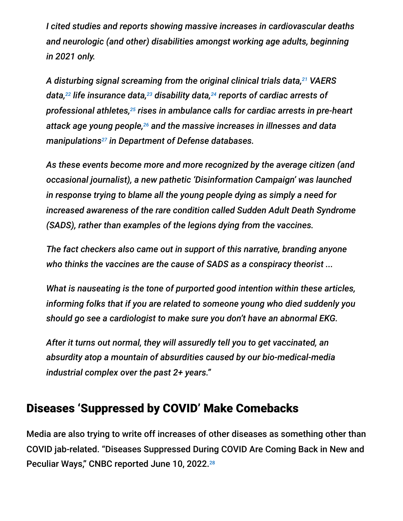*I cited studies and reports showing massive increases in cardiovascular deaths and neurologic (and other) disabilities amongst working age adults, beginning in 2021 only.*

*A disturbing signal screaming from the original clinical trials data, VAERS 21* data, $^{22}$  life insurance data, $^{23}$  disability data, $^{24}$  reports of cardiac arrests of professional athletes,<sup>25</sup> rises in ambulance calls for cardiac arrests in pre-heart attack age young people,<sup>26</sup> and the massive increases in illnesses and data manipulations<sup>27</sup> in Department of Defense databases.

*As these events become more and more recognized by the average citizen (and occasional journalist), a new pathetic 'Disinformation Campaign' was launched in response trying to blame all the young people dying as simply a need for increased awareness of the rare condition called Sudden Adult Death Syndrome (SADS), rather than examples of the legions dying from the vaccines.*

*The fact checkers also came out in support of this narrative, branding anyone who thinks the vaccines are the cause of SADS as a conspiracy theorist ...*

*What is nauseating is the tone of purported good intention within these articles, informing folks that if you are related to someone young who died suddenly you should go see a cardiologist to make sure you don't have an abnormal EKG.*

*After it turns out normal, they will assuredly tell you to get vaccinated, an absurdity atop a mountain of absurdities caused by our bio-medical-media industrial complex over the past 2+ years."*

#### Diseases 'Suppressed by COVID' Make Comebacks

Media are also trying to write off increases of other diseases as something other than COVID jab-related. "Diseases Suppressed During COVID Are Coming Back in New and Peculiar Ways," CNBC reported June 10, 2022.<sup>28</sup>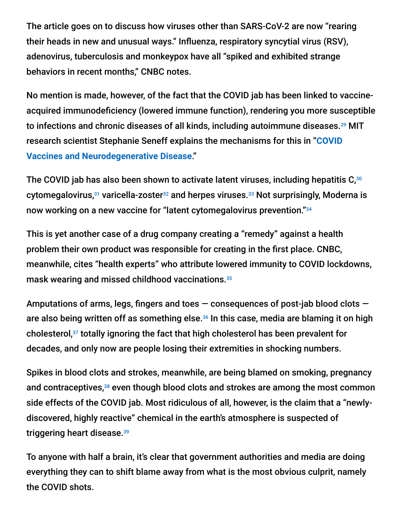The article goes on to discuss how viruses other than SARS-CoV-2 are now "rearing their heads in new and unusual ways." Influenza, respiratory syncytial virus (RSV), adenovirus, tuberculosis and monkeypox have all "spiked and exhibited strange behaviors in recent months," CNBC notes.

No mention is made, however, of the fact that the COVID jab has been linked to vaccineacquired immunodeficiency (lowered immune function), rendering you more susceptible to infections and chronic diseases of all kinds, including autoimmune diseases. $^{29}$  MIT [research scientist Stephanie Seneff explains the mechanisms for this in "](https://takecontrol.substack.com/p/covid-vaccines-and-neurodegenerative-disease?s=r)**COVID Vaccines and Neurodegenerative Disease**."

The COVID jab has also been shown to activate latent viruses, including hepatitis C, $^{\rm 30}$ cytomegalovirus,<sup>31</sup> varicella-zoster<sup>32</sup> and herpes viruses.<sup>33</sup> Not surprisingly, Moderna is now working on a new vaccine for "latent cytomegalovirus prevention." 34

This is yet another case of a drug company creating a "remedy" against a health problem their own product was responsible for creating in the first place. CNBC, meanwhile, cites "health experts" who attribute lowered immunity to COVID lockdowns, mask wearing and missed childhood vaccinations. 35

Amputations of arms, legs, fingers and toes  $-$  consequences of post-jab blood clots  $$ are also being written off as something else.<sup>36</sup> In this case, media are blaming it on high cholesterol,<sup>37</sup> totally ignoring the fact that high cholesterol has been prevalent for decades, and only now are people losing their extremities in shocking numbers.

Spikes in blood clots and strokes, meanwhile, are being blamed on smoking, pregnancy and contraceptives, $38$  even though blood clots and strokes are among the most common side effects of the COVID jab. Most ridiculous of all, however, is the claim that a "newlydiscovered, highly reactive" chemical in the earth's atmosphere is suspected of triggering heart disease. 39

To anyone with half a brain, it's clear that government authorities and media are doing everything they can to shift blame away from what is the most obvious culprit, namely the COVID shots.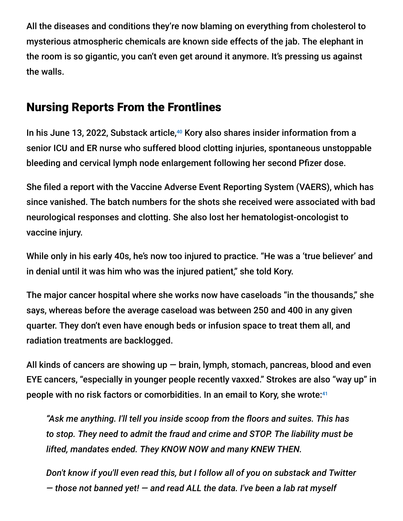All the diseases and conditions they're now blaming on everything from cholesterol to mysterious atmospheric chemicals are known side effects of the jab. The elephant in the room is so gigantic, you can't even get around it anymore. It's pressing us against the walls.

### Nursing Reports From the Frontlines

In his June 13, 2022, Substack article,<sup>40</sup> Kory also shares insider information from a senior ICU and ER nurse who suffered blood clotting injuries, spontaneous unstoppable bleeding and cervical lymph node enlargement following her second Pfizer dose.

She filed a report with the Vaccine Adverse Event Reporting System (VAERS), which has since vanished. The batch numbers for the shots she received were associated with bad neurological responses and clotting. She also lost her hematologist-oncologist to vaccine injury.

While only in his early 40s, he's now too injured to practice. "He was a 'true believer' and in denial until it was him who was the injured patient," she told Kory.

The major cancer hospital where she works now have caseloads "in the thousands," she says, whereas before the average caseload was between 250 and 400 in any given quarter. They don't even have enough beds or infusion space to treat them all, and radiation treatments are backlogged.

All kinds of cancers are showing up  $-$  brain, lymph, stomach, pancreas, blood and even EYE cancers, "especially in younger people recently vaxxed." Strokes are also "way up" in people with no risk factors or comorbidities. In an email to Kory, she wrote: 41

*"Ask me anything. I'll tell you inside scoop from the floors and suites. This has to stop. They need to admit the fraud and crime and STOP. The liability must be lifted, mandates ended. They KNOW NOW and many KNEW THEN.*

*Don't know if you'll even read this, but I follow all of you on substack and Twitter — those not banned yet! — and read ALL the data. I've been a lab rat myself*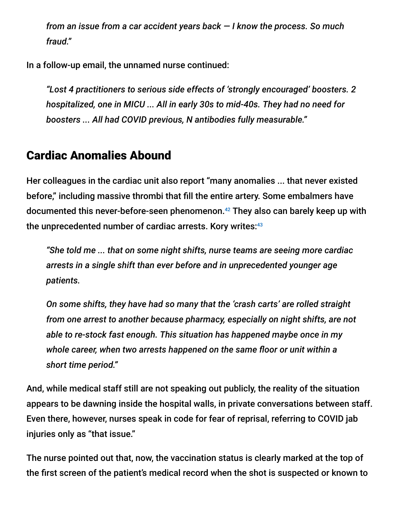*from an issue from a car accident years back — I know the process. So much fraud."*

In a follow-up email, the unnamed nurse continued:

*"Lost 4 practitioners to serious side effects of 'strongly encouraged' boosters. 2 hospitalized, one in MICU ... All in early 30s to mid-40s. They had no need for boosters ... All had COVID previous, N antibodies fully measurable."*

### Cardiac Anomalies Abound

Her colleagues in the cardiac unit also report "many anomalies ... that never existed before," including massive thrombi that fill the entire artery. Some embalmers have documented this never-before-seen phenomenon.<sup>42</sup> They also can barely keep up with the unprecedented number of cardiac arrests. Kory writes: 43

*"She told me ... that on some night shifts, nurse teams are seeing more cardiac arrests in a single shift than ever before and in unprecedented younger age patients.*

*On some shifts, they have had so many that the 'crash carts' are rolled straight from one arrest to another because pharmacy, especially on night shifts, are not able to re-stock fast enough. This situation has happened maybe once in my whole career, when two arrests happened on the same floor or unit within a short time period."*

And, while medical staff still are not speaking out publicly, the reality of the situation appears to be dawning inside the hospital walls, in private conversations between staff. Even there, however, nurses speak in code for fear of reprisal, referring to COVID jab injuries only as "that issue."

The nurse pointed out that, now, the vaccination status is clearly marked at the top of the first screen of the patient's medical record when the shot is suspected or known to